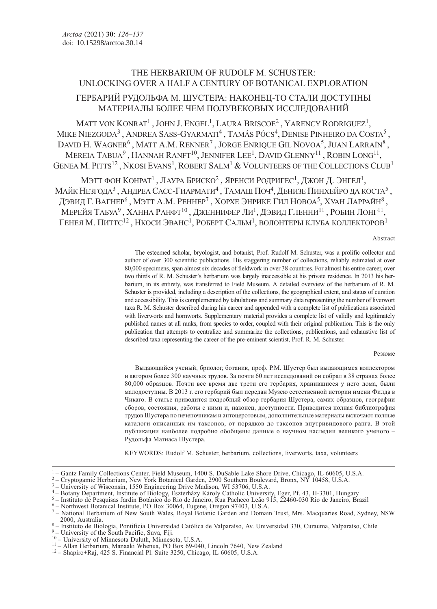# THE HERBARIUM OF RUDOLF M. SCHUSTER: UNLOCKING OVER A HALF A CENTURY OF BOTANICAL EXPLORATION

## ГЕРБАРИЙ РУДОЛЬФА М. ШУСТЕРА: НАКОНЕЦ-ТО СТАЛИ ДОСТУПНЫ МАТЕРИАЛЫ БОЛЕЕ ЧЕМ ПОЛУВЕКОВЫХ ИССЛЕДОВАНИЙ

MATT VON KONRAT<sup>1</sup>, JOHN J. ENGEL<sup>1</sup>, LAURA BRISCOE<sup>2</sup>, YARENCY RODRIGUEZ<sup>1</sup>, MIKE NIEZGODA<sup>3</sup>, ANDREA SASS-GYARMATI<sup>4</sup>, TAMÁS PÓCS<sup>4</sup>, DENISE PINHEIRO DA COSTA<sup>5</sup>, DAVID H. WAGNER<sup>6</sup>, MATT A.M. RENNER<sup>7</sup>, JORGE ENRIQUE GIL NOVOA<sup>5</sup>, JUAN LARRAÍN<sup>8</sup>, MEREIA TABUA<sup>9</sup>, HANNAH RANFT<sup>10</sup>, JENNIFER LEE<sup>1</sup>, DAVID GLENNY<sup>11</sup>, ROBIN LONG<sup>11</sup>, GENEA M. PITTS<sup>12</sup>, NKOSI EVANS<sup>1</sup>, ROBERT SALM<sup>1</sup> & VOLUNTEERS OF THE COLLECTIONS CLUB<sup>1</sup>

МЭТТ ФОН КОНРАТ<sup>1</sup>, ЛАУРА БРИСКО<sup>2</sup>, Яренси Родригес<sup>1</sup>, Джон Д. Энгел<sup>1</sup>, МАЙК НЕЗГОДА<sup>3</sup>, АНДРЕА САСС-ГИАРМАТИ<sup>4</sup>, ТАМАШ ПОЧ<sup>4</sup>, ДЕНИЗЕ ПИНХЕЙРО ДА КОСТА<sup>5</sup>, ДЭВИД Г. ВАГНЕР<sup>6</sup>, МЭТТ А.М. РЕННЕР<sup>7</sup>, ХОРХЕ ЭНРИКЕ ГИЛ НОВОА<sup>5</sup>, ХУАН ЛАРРАЙН<sup>8</sup>, МЕРЕЙЯ ТАБУА<sup>9</sup>, ХАННА РАНФТ<sup>10</sup>, ДжЕННИФЕР ЛИ<sup>1</sup>, ДЭВИД ГЛЕННИ<sup>11</sup>, РОБИН ЛОНГ<sup>11</sup>,  $\Gamma$ ЕНЕЯ М. ПИТТС<sup>12</sup>, НКОСИ ЭВАНС<sup>1</sup>, РОБЕРТ САЛЬМ<sup>1</sup>, ВОЛОНТЕРЫ КЛУБА КОЛЛЕКТОРОВ<sup>1</sup>

### Abstract

The esteemed scholar, bryologist, and botanist, Prof. Rudolf M. Schuster, was a prolific collector and author of over 300 scientific publications. His staggering number of collections, reliably estimated at over 80,000 specimens, span almost six decades of fieldwork in over 38 countries. For almost his entire career, over two thirds of R. M. Schuster's herbarium was largely inaccessible at his private residence. In 2013 his herbarium, in its entirety, was transferred to Field Museum. A detailed overview of the herbarium of R. M. Schuster is provided, including a description of the collections, the geographical extent, and status of curation and accessibility. This is complemented by tabulations and summary data representing the number of liverwort taxa R. M. Schuster described during his career and appended with a complete list of publications associated with liverworts and hornworts. Supplementary material provides a complete list of validly and legitimately published names at all ranks, from species to order, coupled with their original publication. This is the only publication that attempts to centralize and summarize the collections, publications, and exhaustive list of described taxa representing the career of the pre-eminent scientist, Prof. R. M. Schuster.

#### Резюме

Выдающийся ученый, бриолог, ботаник, проф. Р.М. Шустер был выдающимся коллектором и автором более 300 научных трудов. За почти 60 лет исследований он собрал в 38 странах более 80,000 образцов. Почти все время две трети его гербария, хранившиеся у него дома, были малодоступны. В 2013 г. его гербарий был передан Музею естественной истории имени Филда в Чикаго. В статье приводится подробный обзор гербария Шустера, самих образцов, географии сборов, состояния, работы с ними и, наконец, доступности. Приводится полная библиография трудов Шустера по печеночникам и антоцеротовым, дополнительные материалы включают полные каталоги описанных им таксонов, от порядков до таксонов внутривидового ранга. В этой публикации наиболее подробно обобщены данные о научном наследии великого ученого – Рудольфа Матиаса Шустера.

KEYWORDS: Rudolf M. Schuster, herbarium, collections, liverworts, taxa, volunteers

<sup>&</sup>lt;sup>1</sup> – Gantz Family Collections Center, Field Museum, 1400 S. DuSable Lake Shore Drive, Chicago, IL 60605, U.S.A.

<sup>&</sup>lt;sup>2</sup> – Cryptogamic Herbarium, New York Botanical Garden, 2900 Southern Boulevard, Bronx, NY 10458, U.S.A.

<sup>3</sup>– University of Wisconsin, 1550 Engineering Drive Madison, WI 53706, U.S.A.

<sup>4</sup>– Botany Department, Institute of Biology, Eszterházy Károly Catholic University, Eger, Pf. 43, H-3301, Hungary

<sup>5</sup>– Instituto de Pesquisas Jardin Botânico do Rio de Janeiro, Rua Pacheco Leão 915, 22460-030 Rio de Janeiro, Brazil <sup>6</sup>– Northwest Botanical Institute, PO Box 30064, Eugene, Oregon 97403, U.S.A.

<sup>7</sup>– National Herbarium of New South Wales, Royal Botanic Garden and Domain Trust, Mrs. Macquaries Road, Sydney, NSW

<sup>8 –</sup> Instituto de Biología, Pontificia Universidad Católica de Valparaíso, Av. Universidad 330, Curauma, Valparaíso, Chile  $9$ – University of the South Pacific, Suva, Fiji<br>  $10$ – University of Minnesota Duluth, Minnesota, U.S.A.

<sup>&</sup>lt;sup>11</sup> – Allan Herbarium, Manaaki Whenua, PO Box 69-040, Lincoln 7640, New Zealand <sup>12</sup> – Shapiro+Raj, 425 S. Financial Pl. Suite 3250, Chicago, IL 60605, U.S.A.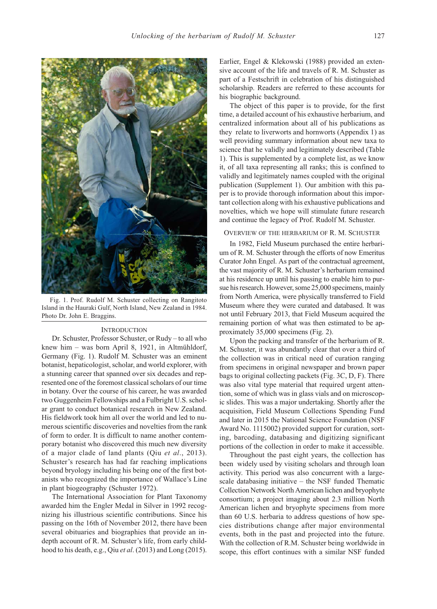

Fig. 1. Prof. Rudolf M. Schuster collecting on Rangitoto Island in the Hauraki Gulf, North Island, New Zealand in 1984. Photo Dr. John E. Braggins.

### **INTRODUCTION**

Dr. Schuster, Professor Schuster, or Rudy – to all who knew him – was born April 8, 1921, in Altmühldorf, Germany (Fig. 1). Rudolf M. Schuster was an eminent botanist, hepaticologist, scholar, and world explorer, with a stunning career that spanned over six decades and represented one of the foremost classical scholars of our time in botany. Over the course of his career, he was awarded two Guggenheim Fellowships and a Fulbright U.S. scholar grant to conduct botanical research in New Zealand. His fieldwork took him all over the world and led to numerous scientific discoveries and novelties from the rank of form to order. It is difficult to name another contemporary botanist who discovered this much new diversity of a major clade of land plants (Qiu et al., 2013). Schuster's research has had far reaching implications beyond bryology including his being one of the first botanists who recognized the importance of Wallace's Line in plant biogeography (Schuster 1972).

The International Association for Plant Taxonomy awarded him the Engler Medal in Silver in 1992 recognizing his illustrious scientific contributions. Since his passing on the 16th of November 2012, there have been several obituaries and biographies that provide an indepth account of R. M. Schuster's life, from early childhood to his death, e.g., Qiu et al. (2013) and Long (2015).

Earlier, Engel & Klekowski (1988) provided an extensive account of the life and travels of R. M. Schuster as part of a Festschrift in celebration of his distinguished scholarship. Readers are referred to these accounts for his biographic background.

The object of this paper is to provide, for the first time, a detailed account of his exhaustive herbarium, and centralized information about all of his publications as they relate to liverworts and hornworts (Appendix 1) as well providing summary information about new taxa to science that he validly and legitimately described (Table 1). This is supplemented by a complete list, as we know it, of all taxa representing all ranks; this is confined to validly and legitimately names coupled with the original publication (Supplement 1). Our ambition with this paper is to provide thorough information about this important collection along with his exhaustive publications and novelties, which we hope will stimulate future research and continue the legacy of Prof. Rudolf M. Schuster.

### OVERVIEW OF THE HERBARIUM OF R. M. SCHUSTER

In 1982, Field Museum purchased the entire herbarium of R. M. Schuster through the efforts of now Emeritus Curator John Engel. As part of the contractual agreement, the vast majority of R. M. Schuster's herbarium remained at his residence up until his passing to enable him to pursue his research. However, some 25,000 specimens, mainly from North America, were physically transferred to Field Museum where they were curated and databased. It was not until February 2013, that Field Museum acquired the remaining portion of what was then estimated to be approximately 35,000 specimens (Fig. 2).

Upon the packing and transfer of the herbarium of R. M. Schuster, it was abundantly clear that over a third of the collection was in critical need of curation ranging from specimens in original newspaper and brown paper bags to original collecting packets (Fig. 3C, D, F). There was also vital type material that required urgent attention, some of which was in glass vials and on microscopic slides. This was a major undertaking. Shortly after the acquisition, Field Museum Collections Spending Fund and later in 2015 the National Science Foundation (NSF Award No. 1115002) provided support for curation, sorting, barcoding, databasing and digitizing significant portions of the collection in order to make it accessible.

Throughout the past eight years, the collection has been widely used by visiting scholars and through loan activity. This period was also concurrent with a largescale databasing initiative – the NSF funded Thematic Collection Network North American lichen and bryophyte consortium; a project imaging about 2.3 million North American lichen and bryophyte specimens from more than 60 U.S. herbaria to address questions of how species distributions change after major environmental events, both in the past and projected into the future. With the collection of R.M. Schuster being worldwide in scope, this effort continues with a similar NSF funded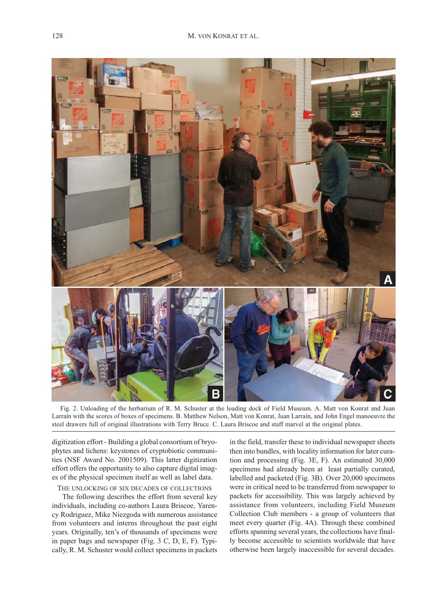

Fig. 2. Unloading of the herbarium of R. M. Schuster at the loading dock of Field Museum. A. Matt von Konrat and Juan Larraín with the scores of boxes of specimens. B. Matthew Nelson, Matt von Konrat, Juan Larraín, and John Engel manoeuvre the steel drawers full of original illustrations with Terry Bruce. C. Laura Briscoe and staff marvel at the original plates.

digitization effort - Building a global consortium of bryophytes and lichens: keystones of cryptobiotic communities (NSF Award No. 2001509). This latter digitization effort offers the opportunity to also capture digital images of the physical specimen itself as well as label data.

THE UNLOCKING OF SIX DECADES OF COLLECTIONS

The following describes the effort from several key individuals, including co-authors Laura Briscoe, Yarency Rodriguez, Mike Niezgoda with numerous assistance from volunteers and interns throughout the past eight years. Originally, ten's of thousands of specimens were in paper bags and newspaper (Fig. 3 C, D, E, F). Typically, R. M. Schuster would collect specimens in packets

in the field, transfer these to individual newspaper sheets then into bundles, with locality information for later curation and processing (Fig. 3E, F). An estimated 30,000 specimens had already been at least partially curated, labelled and packeted (Fig. 3B). Over 20,000 specimens were in critical need to be transferred from newspaper to packets for accessibility. This was largely achieved by assistance from volunteers, including Field Museum Collection Club members - a group of volunteers that meet every quarter (Fig. 4A). Through these combined efforts spanning several years, the collections have finally become accessible to scientists worldwide that have otherwise been largely inaccessible for several decades.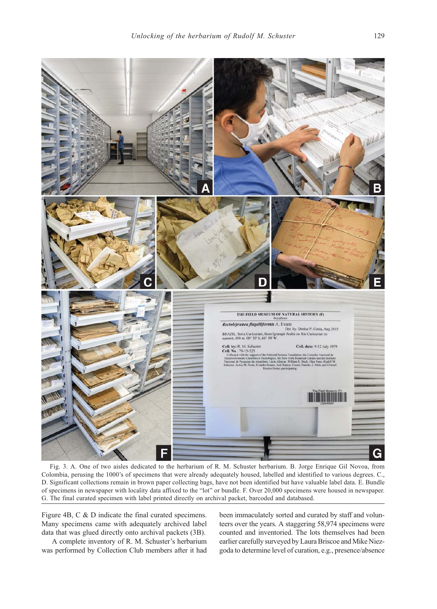

Fig. 3. A. One of two aisles dedicated to the herbarium of R. M. Schuster herbarium. B. Jorge Enrique Gil Novoa, from Colombia, perusing the 1000's of specimens that were already adequately housed, labelled and identified to various degrees. C., D. Significant collections remain in brown paper collecting bags, have not been identified but have valuable label data. E. Bundle of specimens in newspaper with locality data affixed to the "lot" or bundle. F. Over 20,000 specimens were housed in newspaper. G. The final curated specimen with label printed directly on archival packet, barcoded and databased.

Figure 4B, C & D indicate the final curated specimens. Many specimens came with adequately archived label data that was glued directly onto archival packets (3B).

A complete inventory of R. M. Schuster's herbarium was performed by Collection Club members after it had been immaculately sorted and curated by staff and volunteers over the years. A staggering 58,974 specimens were counted and inventoried. The lots themselves had been earlier carefully surveyed by Laura Briscoe and Mike Niezgoda to determine level of curation, e.g., presence/absence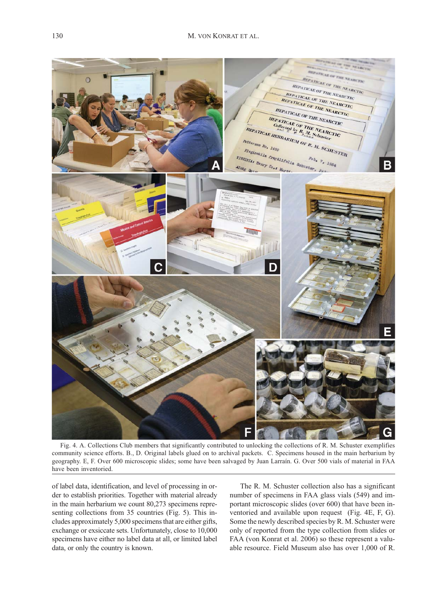

Fig. 4. A. Collections Club members that significantly contributed to unlocking the collections of R. M. Schuster exemplifies community science efforts. B., D. Original labels glued on to archival packets. C. Specimens housed in the main herbarium by geography. E, F. Over 600 microscopic slides; some have been salvaged by Juan Larraín. G. Over 500 vials of material in FAA have been inventoried.

of label data, identification, and level of processing in order to establish priorities. Together with material already in the main herbarium we count 80,273 specimens representing collections from 35 countries (Fig. 5). This includes approximately 5,000 specimens that are either gifts, exchange or exsiccate sets. Unfortunately, close to 10,000 specimens have either no label data at all, or limited label data, or only the country is known.

The R. M. Schuster collection also has a significant number of specimens in FAA glass vials (549) and important microscopic slides (over 600) that have been inventoried and available upon request (Fig. 4E, F, G). Some the newly described species by R. M. Schuster were only of reported from the type collection from slides or FAA (von Konrat et al. 2006) so these represent a valuable resource. Field Museum also has over 1,000 of R.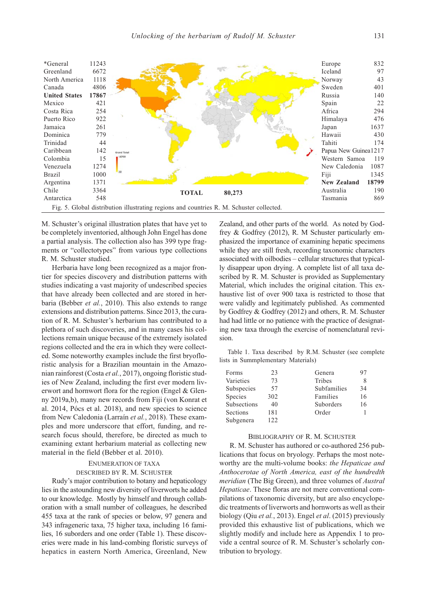| *General                                                                                 | 11243 |                        | Europe                | 832   |  |  |  |
|------------------------------------------------------------------------------------------|-------|------------------------|-----------------------|-------|--|--|--|
| Greenland                                                                                | 6672  |                        | Iceland               | 97    |  |  |  |
| North America                                                                            | 1118  |                        | Norway                | 43    |  |  |  |
| Canada                                                                                   | 4806  |                        | Sweden                | 401   |  |  |  |
| <b>United States</b>                                                                     | 17867 |                        | Russia                | 140   |  |  |  |
| Mexico                                                                                   | 421   |                        | Spain                 | 22    |  |  |  |
| Costa Rica                                                                               | 254   |                        | Africa                | 294   |  |  |  |
| Puerto Rico                                                                              | 922   |                        | Himalaya              | 476   |  |  |  |
| Jamaica                                                                                  | 261   |                        | Japan                 | 1637  |  |  |  |
| Dominica                                                                                 | 779   |                        | Hawaii                | 430   |  |  |  |
| Trinidad                                                                                 | 44    |                        | Tahiti                | 174   |  |  |  |
| Caribbean                                                                                | 142   | Grand Total            | Papua New Guinea 1217 |       |  |  |  |
| Colombia                                                                                 | 15    | 16700                  | Western Samoa         | 119   |  |  |  |
| Venezuela                                                                                | 1274  |                        | New Caledonia         | 1087  |  |  |  |
| Brazil                                                                                   | 1000  |                        | Fiji                  | 1345  |  |  |  |
| Argentina                                                                                | 1371  |                        | <b>New Zealand</b>    | 18799 |  |  |  |
| Chile                                                                                    | 3364  | <b>TOTAL</b><br>80,273 | Australia             | 190   |  |  |  |
| Antarctica                                                                               | 548   |                        | Tasmania              | 869   |  |  |  |
| Fig. 5. Global distribution illustrating regions and countries R. M. Schuster collected. |       |                        |                       |       |  |  |  |

M. Schuster's original illustration plates that have yet to be completely inventoried, although John Engel has done a partial analysis. The collection also has 399 type fragments or "collectotypes" from various type collections R. M. Schuster studied.

Herbaria have long been recognized as a major frontier for species discovery and distribution patterns with studies indicating a vast majority of undescribed species that have already been collected and are stored in herbaria (Bebber et al., 2010). This also extends to range extensions and distribution patterns. Since 2013, the curation of R. M. Schuster's herbarium has contributed to a plethora of such discoveries, and in many cases his collections remain unique because of the extremely isolated regions collected and the era in which they were collected. Some noteworthy examples include the first bryofloristic analysis for a Brazilian mountain in the Amazonian rainforest (Costa et al., 2017), ongoing floristic studies of New Zealand, including the first ever modern liverwort and hornwort flora for the region (Engel & Glenny 2019a,b), many new records from Fiji (von Konrat et al. 2014, Pócs et al. 2018), and new species to science from New Caledonia (Larraín et al., 2018). These examples and more underscore that effort, funding, and research focus should, therefore, be directed as much to examining extant herbarium material as collecting new material in the field (Bebber et al. 2010).

### ENUMERATION OF TAXA DESCRIBED BY R. M. SCHUSTER

Rudy's major contribution to botany and hepaticology lies in the astounding new diversity of liverworts he added to our knowledge. Mostly by himself and through collaboration with a small number of colleagues, he described 455 taxa at the rank of species or below, 97 genera and 343 infrageneric taxa, 75 higher taxa, including 16 families, 16 suborders and one order (Table 1). These discoveries were made in his land-combing floristic surveys of hepatics in eastern North America, Greenland, New

Zealand, and other parts of the world. As noted by Godfrey & Godfrey (2012), R. M Schuster particularly emphasized the importance of examining hepatic specimens while they are still fresh, recording taxonomic characters associated with oilbodies – cellular structures that typically disappear upon drying. A complete list of all taxa described by R. M. Schuster is provided as Supplementary Material, which includes the original citation. This exhaustive list of over 900 taxa is restricted to those that were validly and legitimately published. As commented by Godfrey & Godfrey (2012) and others, R. M. Schuster had had little or no patience with the practice of designating new taxa through the exercise of nomenclatural revision.

Table 1. Taxa described by R.M. Schuster (see complete lists in Summplementary Materials)

| Forms       | 23   | Genera      | 97 |
|-------------|------|-------------|----|
| Varieties   | 73   | Tribes      |    |
| Subspecies  | 57   | Subfamilies | 34 |
| Species     | 302  | Families    | 16 |
| Subsections | 40   | Suborders   | 16 |
| Sections    | 181  | Order       |    |
| Subgenera   | 122. |             |    |

### BIBLIOGRAPHY OF R. M. SCHUSTER

R. M. Schuster has authored or co-authored 256 publications that focus on bryology. Perhaps the most noteworthy are the multi-volume books: the Hepaticae and Anthocerotae of North America, east of the hundredth meridian (The Big Green), and three volumes of Austral Hepaticae. These floras are not mere conventional compilations of taxonomic diversity, but are also encyclopedic treatments of liverworts and hornworts as well as their biology (Qiu et al., 2013). Engel et al. (2015) previously provided this exhaustive list of publications, which we slightly modify and include here as Appendix 1 to provide a central source of R. M. Schuster's scholarly contribution to bryology.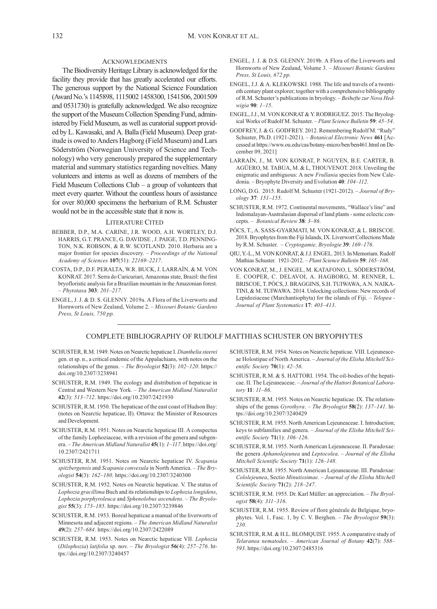### ACKNOWLEDGMENTS

The Biodiversity Heritage Library is acknowledged for the facility they provide that has greatly accelerated our efforts. The generous support by the National Science Foundation (Award No.'s 1145898, 1115002 1458300, 1541506, 2001509 and 0531730) is gratefully acknowledged. We also recognize the support of the Museum Collection Spending Fund, administered by Field Museum, as well as curatorial support provided by L. Kawasaki, and A. Balla (Field Museum). Deep gratitude is owed to Anders Hagborg (Field Museum) and Lars Söderström (Norwegian University of Science and Technology) who very generously prepared the supplementary material and summary statistics regarding novelties. Many volunteers and interns as well as dozens of members of the Field Museum Collections Club – a group of volunteers that meet every quarter. Without the countless hours of assistance for over 80,000 specimens the herbarium of R.M. Schuster would not be in the accessible state that it now is.

### LITERATURE CITED

- BEBBER, D.P., M.A. CARINE, J.R. WOOD, A.H. WORTLEY, D.J. HARRIS, G.T. PRANCE, G. DAVIDSE , J. PAIGE, T.D. PENNING-TON, N.K. ROBSON, & R.W. SCOTLAND. 2010. Herbaria are a major frontier for species discovery. – Proceedings of the National Academy of Sciences 107(51): 22169–2217.
- COSTA, D.P., D.F. PERALTA, W.R. BUCK, J. LARRAÍN, & M. VON KONRAT. 2017. Serra do Curicuriari, Amazonas state, Brazil: the first bryofloristic analysis for a Brazilian mountain in the Amazonian forest. – Phytotaxa 303: 201–217.
- ENGEL, J. J. & D. S. GLENNY. 2019a. A Flora of the Liverworts and Hornworts of New Zealand, Volume 2. – Missouri Botanic Gardens Press, St Louis, 750 pp.
- ENGEL, J. J. & D.S. GLENNY. 2019b. A Flora of the Liverworts and Hornworts of New Zealand, Volume 3. – Missouri Botanic Gardens Press, St Louis, 672 pp.
- ENGEL, J.J. & A. KLEKOWSKI. 1988. The life and travels of a twentieth century plant explorer; together with a comprehensive bibliography of R.M. Schuster's publications in bryology. – Beihefte zur Nova Hedwigia 90: 1–15.
- ENGEL, J.J., M. VON KONRAT & Y. RODRIGUEZ. 2015. The Bryological Works of Rudolf M. Schuster. – Plant Science Bulletin 59: 45–54.
- GODFREY, J. & G. GODFREY. 2012. Remembering Rudolf M. "Rudy" Schuster, Ph.D. (1921-2021). - Botanical Electronic News 461 [Accessed at https://www.ou.edu/cas/botany-micro/ben/ben461.html on December 09, 2021]
- LARRAÍN, J., M. VON KONRAT, P. NGUYEN, B.E. CARTER, B. AGÜERO, M. TABUA, M. & L, THOUVENOT. 2018. Unveiling the enigmatic and ambiguous: A new Frullania species from New Caledonia. – Bryophyte Diversity and Evolution 40: 104–112.
- LONG, D.G. 2015. Rudolf M. Schuster (1921-2012). Journal of Bryology 37: 151–155.
- SCHUSTER, R.M. 1972. Continental movements, "Wallace's line" and Indomalayan-Australasian dispersal of land plants - some eclectic concepts. – Botanical Review 38: 3–86.
- PÓCS, T., A. SASS-GYARMATI, M. VON KONRAT, & L. BRISCOE. 2018. Bryophytes from the Fiji Islands, IX. Liverwort Collections Made by R.M. Schuster. – Cryptogamie, Bryologie 39: 169–176.
- QIU, Y.-L., M. VON KONRAT, & J.J. ENGEL. 2013. In Memoriam. Rudolf Mathias Schuster. 1921-2012. – Plant Science Bulletin 59: 165–168.
- VON KONRAT, M., J. ENGEL, M. KATAFONO, L. SÖDERSTRÖM, E. COOPER, C. DELAVOI, A. HAGBORG, M. RENNER, L. BRISCOE, T. PÓCS, J. BRAGGINS, S.H. TUIWAWA, A.N. NAIKA-TINI, & M. TUIWAWA. 2014. Unlocking collections: New records of Lepidoziaceae (Marchantiophyta) for the islands of Fiji. – Telopea - Journal of Plant Systematics 17: 403–413.

### COMPLETE BIBLIOGRAPHY OF RUDOLF MATTHIAS SCHUSTER ON BRYOPHYTES

- SCHUSTER, R.M. 1949. Notes on Nearctic hepaticae I. Dianthelia steerei gen. et sp. n., a critical endemic of the Appalachians, with notes on the relationships of the genus. - The Bryologist 52(3): 102-120. https:// doi.org/10.2307/3238941
- SCHUSTER, R.M. 1949. The ecology and distribution of hepaticae in Central and Western New York. – The American Midland Naturalist 42(3): 513–712. https://doi.org/10.2307/2421930
- SCHUSTER, R.M. 1950. The hepaticae of the east coast of Hudson Bay: (notes on Nearctic hepaticae, II). Ottawa: the Minister of Resources and Development.
- SCHUSTER, R.M. 1951. Notes on Nearctic hepaticae III. A conspectus of the family Lophoziaceae, with a revision of the genera and subgenera. – The American Midland Naturalist 45(1): 1–117. https://doi.org/ 10.2307/2421711
- SCHUSTER, R.M. 1951. Notes on Nearctic hepaticae IV. Scapania spitzbergensis and Scapania convexula in North America. - The Bryologist 54(3): 162–180. https://doi.org/10.2307/3240300
- SCHUSTER, R.M. 1952. Notes on Nearctic hepaticae. V. The status of Lophozia gracillima Buch and its relationships to Lophozia longidens, Lophozia porphyroleuca and Sphenolobus ascendens. – The Bryologist 55(3): 173–185. https://doi.org/10.2307/3239846
- SCHUSTER, R.M. 1953. Boreal hepaticae a manual of the liverworts of Minnesota and adjacent regions. – The American Midland Naturalist 49(2): 257–684. https://doi.org/10.2307/2422089
- SCHUSTER, R.M. 1953. Notes on Nearctic hepaticae VII. Lophozia (Dilophozia) latifolia sp. nov. – The Bryologist 56(4): 257–276. https://doi.org/10.2307/3240457
- SCHUSTER, R.M. 1954. Notes on Nearctic hepaticae. VIII. Lejeuneaceae Holostipae of North America. – Journal of the Elisha Mitchell Scientific Society **70**(1): 42-56.
- SCHUSTER, R.M. & S. HATTORI. 1954. The oil-bodies of the hepaticae. II. The Lejeuneaceae. – Journal of the Hattori Botanical Laboratory 11: 11-86.
- SCHUSTER, R.M. 1955. Notes on Nearctic hepaticae. IX. The relationships of the genus Gyrothyra. - The Bryologist 58(2): 137-141. https://doi.org/10.2307/3240429
- SCHUSTER, R.M. 1955. North American Lejeuneaceae. I. Introduction; keys to subfamilies and genera. – Journal of the Elisha Mitchell Scientific Society **71**(1): 106-126.
- SCHUSTER, R.M. 1955. North American Lejeuneaceae. II. Paradoxae: the genera Aphanolejeunea and Leptocolea. – Journal of the Elisha Mitchell Scientific Society 71(1): 126–148.
- SCHUSTER, R.M. 1955. North American Lejeuneaceae. III. Paradoxae: Cololejeunea, Sectio Minutissimae. – Journal of the Elisha Mitchell Scientific Society 71(2): 218-247.
- SCHUSTER, R.M. 1955. Dr. Karl Müller: an appreciation. The Bryologist 58(4): 311–316.
- SCHUSTER, R.M. 1955. Review of flore générale de Belgique, bryophytes. Vol. 1, Fasc. 1, by C. V. Berghen. – The Bryologist 59(3): 230.
- SCHUSTER, R.M. & H.L. BLOMQUIST. 1955. A comparative study of Telaranea nematodes. – American Journal of Botany  $42(7)$ : 588– 593. https://doi.org/10.2307/2485316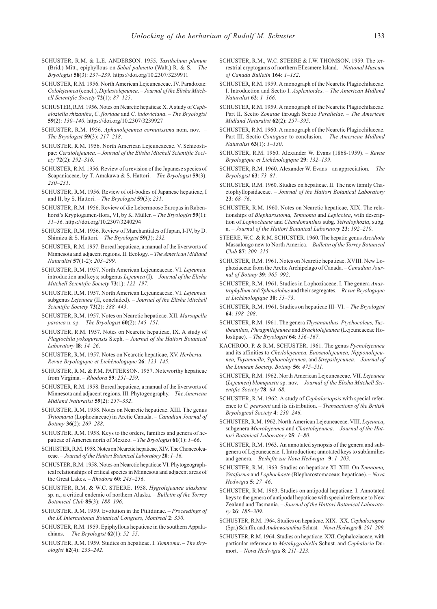- SCHUSTER, R.M. & L.E. ANDERSON. 1955. Taxithelium planum (Brid.) Mitt., epiphyllous on Sabal palmetto (Walt.) R. & S. – The Bryologist 58(3): 237–239. https://doi.org/10.2307/3239911
- SCHUSTER, R.M. 1956. North American Lejeuneaceae. IV. Paradoxae: Cololejeunea (concl.), Diplasiolejeunea. – Journal of the Elisha Mitchell Scientific Society 72(1): 87–125.
- SCHUSTER, R.M. 1956. Notes on Nearctic hepaticae X. A study of Cephaloziella rhizantha, C. floridae and C. ludoviciana. – The Bryologist 59(2): 130–140. https://doi.org/10.2307/3239927
- SCHUSTER, R.M. 1956. Aphanolejeunea cornutissima nom. nov. The Bryologist 59(3): 217–218.
- SCHUSTER, R.M. 1956. North American Lejeuneaceae. V. Schizostipae: Ceratolejeunea. – Journal of the Elisha Mitchell Scientific Society 72(2): 292–316.
- SCHUSTER, R.M. 1956. Review of a revision of the Japanese species of Scapaniaceae, by T. Amakawa & S. Hattori. - The Bryologist 59(3): 230–231.
- SCHUSTER, R.M. 1956. Review of oil-bodies of Japanese hepaticae, I and II, by S. Hattori. – The Bryologist  $59(3)$ : 231.
- SCHUSTER, R.M. 1956. Review of die Lebermoose Europas in Rabenhorst's Kryptogamen-flora, VI, by K. Müller. - The Bryologist 59(1): 51–56. https://doi.org/10.2307/3240294
- SCHUSTER, R.M. 1956. Review of Marchantiales of Japan, I-IV, by D. Shimizu & S. Hattori. – The Bryologist 59(3): 232.
- SCHUSTER, R.M. 1957. Boreal hepaticae, a manual of the liverworts of Minnesota and adjacent regions. II. Ecology. – The American Midland Naturalist 57(1-2): 203–299.
- SCHUSTER, R.M. 1957. North American Lejeuneaceae. VI. Lejeunea: introduction and keys; subgenus Lejeunea (I). – Journal of the Elisha Mitchell Scientific Society 73(1): 122-197.
- SCHUSTER, R.M. 1957. North American Lejeuneaceae. VI. Lejeunea: subgenus Lejeunea (II, concluded). - Journal of the Elisha Mitchell Scientific Society 73(2): 388-443.
- SCHUSTER, R.M. 1957. Notes on Nearctic hepaticae. XII. Marsupella paroica n. sp. – The Bryologist  $60(2)$ : 145–151.
- SCHUSTER, R.M. 1957. Notes on Nearctic hepaticae, IX. A study of Plagiochila yokogurensis Steph. – Journal of the Hattori Botanical Laboratory l8: 14–26.
- SCHUSTER, R.M. 1957. Notes on Nearctic hepaticae, XV. Herberta. Revue Bryologique et Lichénologique 26: 123–145.
- SCHUSTER, R.M. & P.M. PATTERSON. 1957. Noteworthy hepaticae from Virginia. – Rhodora 59: 251–259.
- SCHUSTER, R.M. 1958. Boreal hepaticae, a manual of the liverworts of Minnesota and adjacent regions. III. Phytogeography. – The American Midland Naturalist 59(2): 257–332.
- SCHUSTER, R.M. 1958. Notes on Nearctic hepaticae. XIII. The genus Tritomaria (Lophoziaceae) in Arctic Canada. – Canadian Journal of Botany 36(2): 269–288.
- SCHUSTER, R.M. 1958. Keys to the orders, families and genera of hepaticae of America north of Mexico. - The Bryologist 61(1): 1-66.
- SCHUSTER, R.M. 1958. Notes on Nearctic hepaticae, XIV. The Chonecoleaceae. – Journal of the Hattori Botanical Laboratory 20: 1–16.
- SCHUSTER, R.M. 1958. Notes on Nearctic hepaticae VI. Phytogeographical relationships of critical species in Minnesota and adjacent areas of the Great Lakes. - Rhodora 60: 243-256.
- SCHUSTER, R.M. & W.C. STEERE. 1958. Hygrolejeunea alaskana sp. n., a critical endemic of northern Alaska. – Bulletin of the Torrey Botanical Club 85(3): 188–196.
- SCHUSTER, R.M. 1959. Evolution in the Ptilidiinae. Proceedings of the IX International Botanical Congress, Montreal 2: 350.
- SCHUSTER, R.M. 1959. Epiphyllous hepaticae in the southern Appalachians. – The Bryologist  $62(1)$ : 52–55.
- SCHUSTER, R.M. 1959. Studies on hepaticae. I. Temnoma. The Bryologist 62(4): 233–242.
- SCHUSTER, R.M., W.C. STEERE & J.W. THOMSON. 1959. The terrestrial cryptogams of northern Ellesmere Island. – National Museum of Canada Bulletin 164: 1–132.
- SCHUSTER, R.M. 1959. A monograph of the Nearctic Plagiochilaceae. I. Introduction and Sectio I. Asplenioides. – The American Midland Naturalist  $62 \cdot 1 - 166$
- SCHUSTER, R.M. 1959. A monograph of the Nearctic Plagiochilaceae. Part II. Sectio Zonatae through Sectio Parallelae. – The American Midland Naturalist 62(2): 257–395.
- SCHUSTER, R.M. 1960. A monograph of the Nearctic Plagiochilaceae. Part III. Sectio Contiguae to conclusion. - The American Midland Naturalist 63(1): 1–130.
- SCHUSTER, R.M. 1960. Alexander W. Evans (1868-1959). Revue Bryologique et Lichénologique 29: 132–139.
- SCHUSTER, R.M. 1960. Alexander W. Evans an appreciation. The Bryologist 63: 73–81.
- SCHUSTER, R.M. 1960. Studies on hepaticae. II. The new family Chaetophyllopsidaceae. – Journal of the Hattori Botanical Laboratory 23: 68–76.
- SCHUSTER, R.M. 1960. Notes on Nearctic hepaticae, XIX. The relationships of Blepharostoma, Temnoma and Lepicolea, with description of Lophochaete and Chandonanthus subg. Tetralophozia, subg. n. – Journal of the Hattori Botanical Laboratory 23: 192–210.
- STEERE, W.C. & R.M. SCHUSTER. 1960. The hepatic genus Ascidiota Massalongo new to North America. – Bulletin of the Torrey Botanical Club 87: 209–215.
- SCHUSTER, R.M. 1961. Notes on Nearctic hepaticae. XVIII. New Lophoziaceae from the Arctic Archipelago of Canada. – Canadian Journal of Botany 39: 965–992.
- SCHUSTER, R.M. 1961. Studies in Lophoziaceae. I. The genera Anastrophyllum and Sphenolobus and their segregates. – Revue Bryologique et Lichénologique 30: 55–73.
- SCHUSTER, R.M. 1961. Studies on hepaticae III–VI. The Bryologist 64: 198–208.
- SCHUSTER, R.M. 1961. The genera Thysananthus, Ptychocoleus, Tuzibeanthus, Phragmilejeunea and Brachiolejeunea (Lejeuneaceae Holostipae). – The Bryologist 64: 156–167.
- KACHROO, P. & R.M. SCHUSTER. 1961. The genus Pycnolejeunea and its affinities to Cheilolejeunea, Euosmolejeunea, Nipponolejeunea, Tuyamaella, Siphonolejeunea, and Strepsilejeunea. – Journal of the Linnean Society. Botany 56: 475–511.
- SCHUSTER, R.M. 1962. North American Lejeuneaceae. VII. Lejeunea (Lejeunea) blomquistii sp. nov. – Journal of the Elisha Mitchell Scientific Society 78: 64–68.
- SCHUSTER, R.M. 1962. A study of Cephaloziopsis with special reference to C. pearsoni and its distribution. – Transactions of the British Bryological Society 4: 230–246.
- SCHUSTER, R.M. 1962. North American Lejeuneaceae. VIII. Lejeunea, subgenera Microlejeunea and Chaetolejeunea. – Journal of the Hattori Botanical Laboratory 25: 1–80.
- SCHUSTER, R.M. 1963. An annotated synopsis of the genera and subgenera of Lejeuneaceae. I. Introduction; annotated keys to subfamilies and genera. – Beihefte zur Nova Hedwigia 9: 1–203.
- SCHUSTER, R.M. 1963. Studies on hepaticae XI–XIII. On Temnoma, Vetaforma and Lophochaete (Blepharostomaceae; hepaticae). – Nova Hedwigia 5: 27–46.
- SCHUSTER, R.M. 1963. Studies on antipodal hepaticae. I. Annotated keys to the genera of antipodal hepaticae with special reference to New Zealand and Tasmania. – Journal of the Hattori Botanical Laboratory 26: 185–309.
- SCHUSTER, R.M. 1964. Studies on hepaticae. XIX.–XX. Cephaloziopsis (Spr.) Schiffn. and Andrewsianthus Schust. – Nova Hedwigia 8: 201–209.
- SCHUSTER, R.M. 1964. Studies on hepaticae. XXI. Cephaloziaceae, with particular reference to Metahygrobiella Schust. and Cephalozia Dumort. – Nova Hedwigia 8: 211–223.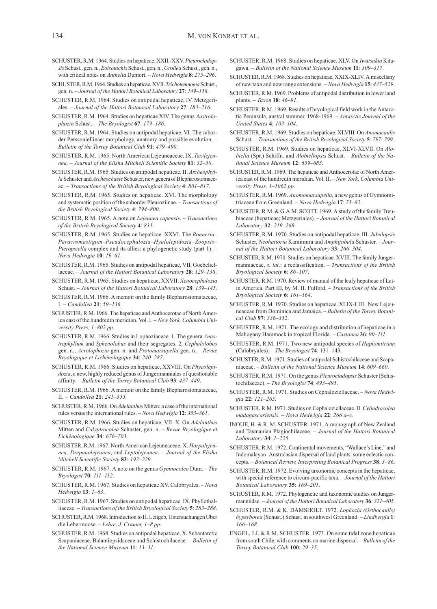- SCHUSTER, R.M. 1964. Studies on hepaticae. XXII.-XXV. Pleurocladopsis Schust., gen. n., Eoisotachis Schust., gen. n., Grollea Schust., gen. n., with critical notes on Anthelia Dumort. - Nova Hedwigia 8: 275-296.
- SCHUSTER, R.M. 1964. Studies on hepaticae. XVII. Trichotemnoma Schust., gen. n. – Journal of the Hattori Botanical Laboratory 27: 149–158.
- SCHUSTER, R.M. 1964. Studies on antipodal hepaticae, IV. Metzgeriales. – Journal of the Hattori Botanical Laboratory 27: 183–216.
- SCHUSTER, R.M. 1964. Studies on hepaticae XIV. The genus Austrolophozia Schust. – The Bryologist 67: 179–186.
- SCHUSTER, R.M. 1964. Studies on antipodal hepaticae. VI. The suborder Perssoniellinae: morphology, anatomy and possible evolution. – Bulletin of the Torrey Botanical Club 91: 479–490.
- SCHUSTER, R.M. 1965. North American Lejeuneaceae. IX. Taxilejeunea. – Journal of the Elisha Mitchell Scientific Society 81: 32–50.
- SCHUSTER, R.M. 1965. Studies on antipodal hepaticae. II. Archeophylla Schuster and Archeochaete Schuster, new genera of Blepharostomaceae. – Transactions of the British Bryological Society 4: 801–817.
- SCHUSTER, R.M. 1965. Studies on hepaticae. XVI. The morphology and systematic position of the suborder Pleuroziinae. – Transactions of the British Bryological Society 4: 794–800.
- SCHUSTER, R.M. 1965. A note on Lejeunea capensis. Transactions of the British Bryological Society 4: 831.
- SCHUSTER, R.M. 1965. Studies on hepaticae. XXVI. The Bonneria– Paracromastigum–Pseudocephalozia–Hyalolepidozia–Zoopsis– Pteropsiella complex and its allies: a phylogenetic study (part 1). – Nova Hedwigia 10: 19–61.
- SCHUSTER, R.M. 1965. Studies on antipodal hepaticae, VII. Goebeliellaceae. – Journal of the Hattori Botanical Laboratory 28: 129–138.
- SCHUSTER, R.M. 1965. Studies on hepaticae, XXVII. Xenocephalozia Schust. – Journal of the Hattori Botanical Laboratory 28: 139–145.
- SCHUSTER, R.M. 1966. A memoir on the family Blepharostomataceae, I. – Candollea 21: 59–136.
- SCHUSTER, R.M. 1966. The hepaticae and Anthocerotae of North America east of the hundredth meridian. Vol. I. – New York, Columbia University Press, 1–802 pp.
- SCHUSTER, R.M. 1966. Studies in Lophoziaceae. 1. The genera Anastrophyllum and Sphenolobus and their segregates. 2. Cephalolobus gen. n., Acrolophozia gen. n. and Protomarsupella gen. n. – Revue Bryologique et Lichénologique 34: 240–287.
- SCHUSTER, R.M. 1966. Studies on hepaticae, XXVIII. On Phycolepidozia, a new, highly reduced genus of Jungermanniales of questionable affinity. – Bulletin of the Torrey Botanical Club 93: 437–449.
- SCHUSTER, R.M. 1966. A memoir on the family Blepharostomataceae, II. – Candollea 21: 241–355.
- SCHUSTER, R.M. 1966. On Adelanthus Mitten: a case of the international rules versus the international rules. – Nova Hedwigia 12: 353–361.
- SCHUSTER, R.M. 1966. Studies on hepaticae, VII–X. On Adelanthus Mitten and Calyptrocolea Schuster, gen. n. – Revue Bryologique et Lichénologique 34: 676–703.
- SCHUSTER, R.M. 1967. North American Lejeuneaceae. X. Harpalejeunea, Drepanolejeunea, and Leptolejeunea. – Journal of the Elisha Mitchell Scientific Society 83: 192–229.
- SCHUSTER, R.M. 1967. A note on the genus Gymnocolea Dum. The Bryologist 70: 111–112.
- SCHUSTER, R.M. 1967. Studies on hepaticae XV. Calobryales. Nova Hedwigia 13: 1–63.
- SCHUSTER, R.M. 1967. Studies on antipodal hepaticae. IX. Phyllothalliaceae. – Transactions of the British Bryological Society 5: 283–288.
- SCHUSTER, R.M. 1968. Introduction to H. Leitgeb, Untersuchungen Uber die Lebermoose. – Lehre, J. Cramer, 1–8 pp.
- SCHUSTER, R.M. 1968. Studies on antipodal hepaticae, X. Subantarctic Scapaniaceae, Balantiopsidaceae and Schistochilaceae. – Bulletin of the National Science Museum 11: 13–31.
- SCHUSTER, R.M. 1968. Studies on hepaticae. XLV. On Iwatsukia Kitagawa. – Bulletin of the National Science Museum 11: 309–317.
- SCHUSTER, R.M. 1968. Studies on hepaticae, XXIX-XLIV. A miscellany of new taxa and new range extensions. – Nova Hedwigia 15: 437–529.
- SCHUSTER, R.M. 1969. Problems of antipodal distribution in lower land plants. – Taxon 18:  $46-91$ .
- SCHUSTER, R.M. 1969. Results of bryological field work in the Antarctic Peninsula, austral summer. 1968-1969. – Antarctic Journal of the United States 4: 103–104.
- SCHUSTER, R.M. 1969. Studies on hepaticae. XLVIII. On Anomacaulis Schust. – Transactions of the British Bryological Society 5: 797–799.
- SCHUSTER, R.M. 1969. Studies on hepaticae, XLVI-XLVII. On Alobiella (Spr.) Schiffn. and Alobiellopsis Schust. – Bulletin of the National Science Museum 12: 659–683.
- SCHUSTER, R.M. 1969. The hepaticae and Anthocerotae of North America east of the hundredth meridian. Vol. II. – New York, Columbia University Press, 1–1062 pp.
- SCHUSTER, R.M. 1969. Anomomarsupella, a new genus of Gymnomitriaceae from Greenland. – Nova Hedwigia 17: 75–82.
- SCHUSTER, R.M. & G.A.M. SCOTT. 1969. A study of the family Treubiaceae (hepaticae; Metzgeriales). – Journal of the Hattori Botanical Laboratory 32: 219–268.
- SCHUSTER, R.M. 1970. Studies on antipodal hepaticae, III. Jubulopsis Schuster, Neohattoria Kamimura and Amphijubula Schuster. – Journal of the Hattori Botanical Laboratory 33: 266–304.
- SCHUSTER, R.M. 1970. Studies on hepaticae. XVIII. The family Jungermanniaceae, s.  $lat.$ : a reclassification. – Transactions of the British Bryological Society 6: 86–107.
- SCHUSTER, R.M. 1970. Review of manual of the leafy hepaticae of Latin America. Part III, by M. H. Fulford. – Transactions of the British Bryological Society 6: 161–164.
- SCHUSTER, R.M. 1970. Studies on hepaticae, XLIX-LIII. New Lejeuneaceae from Dominica and Jamaica. – Bulletin of the Torrey Botanical Club 97: 336–352.
- SCHUSTER, R.M. 1971. The ecology and distribution of hepaticae in a Mahogany Hammock in tropical Florida. – Castanea 36: 90–111.
- SCHUSTER, R.M. 1971. Two new antipodal species of Haplomitrium (Calobryales). – The Bryologist 74: 131–143.
- SCHUSTER, R.M. 1971. Studies of antipodal Schistochilaceae and Scapaniaceae. – Bulletin of the National Science Museum 14: 609–660.
- SCHUSTER, R.M. 1971. On the genus Pleurocladopsis Schuster (Schistochilaceae). – The Bryologist 74: 493–495.
- SCHUSTER, R.M. 1971. Studies on Cephaloziellaceae. Nova Hedwigia 22: 121–265.
- SCHUSTER, R.M. 1971. Studies on Cephaloziellaceae. II. Cylindrocolea madagascariensis. – Nova Hedwigia 22: 266 a–c.
- INOUE, H. & R. M. SCHUSTER. 1971. A monograph of New Zealand and Tasmanian Plagiochilaceae. – Journal of the Hattori Botanical Laboratory 34: 1–225.
- SCHUSTER, R.M. 1972. Continental movements, "Wallace's Line," and Indomalayan–Australasian dispersal of land plants: some eclectic concepts. – Botanical Review, Interpreting Botanical Progress 38: 3–86.
- SCHUSTER, R.M. 1972. Evolving taxonomic concepts in the hepaticae, with special reference to circum-pacific taxa. - Journal of the Hattori Botanical Laboratory 35: 169–201.
- SCHUSTER, R.M. 1972. Phylogenetic and taxonomic studies on Jungermanniidae. - Journal of the Hattori Botanical Laboratory 36: 321-405.
- SCHUSTER, R.M. & K. DAMSHOLT. 1972. Lophozia (Orthocaulis) hyperborea (Schust.) Schust. in southwest Greenland. – Lindbergia 1: 166–168.
- ENGEL, J.J. & R.M. SCHUSTER. 1973. On some tidal zone hepaticae from south Chile, with comments on marine dispersal. – Bulletin of the Torrey Botanical Club 100: 29–35.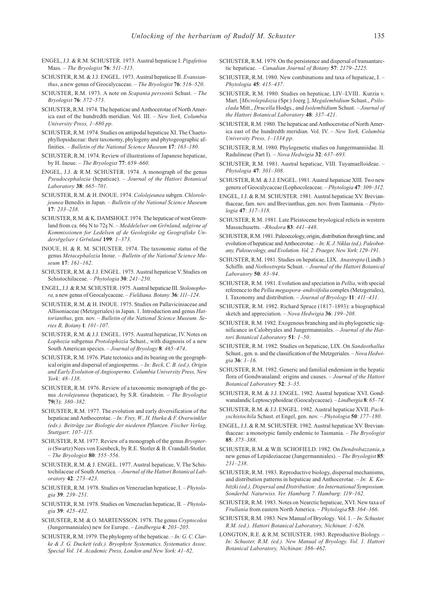- ENGEL, J.J. & R.M. SCHUSTER. 1973. Austral hepaticae I. Pigafettoa Mass. – The Bryologist 76: 511–515.
- SCHUSTER, R.M. & J.J. ENGEL. 1973. Austral hepaticae II. Evansianthus, a new genus of Geocalycaceae. – The Bryologist 76: 516–520.
- SCHUSTER, R.M. 1973. A note on Scapania perssonii Schust. The Bryologist 76: 572–573.
- SCHUSTER, R.M. 1974. The hepaticae and Anthocerotae of North America east of the hundredth meridian. Vol. III. – New York, Columbia University Press, 1–880 pp.
- SCHUSTER, R.M. 1974. Studies on antipodal hepaticae XI. The Chaetophyllopsidaceae: their taxonomy, phylogeny and phytogeographic affinities. – Bulletin of the National Science Museum 17: 163–180.
- SCHUSTER, R.M. 1974. Review of illustrations of Japanese hepaticae, by H. Inoue. – The Bryologist 77: 659–660.
- ENGEL, J.J. & R.M. SCHUSTER. 1974. A monograph of the genus Pseudocephalozia (hepaticae). – Journal of the Hattori Botanical Laboratory 38: 665–701.
- SCHUSTER, R.M. & H. INOUE. 1974. Cololejeunea subgen. Chlorolejeunea Benedix in Japan. – Bulletin of the National Science Museum 17: 233–238.
- SCHUSTER, R.M. & K. DAMSHOLT. 1974. The hepaticae of west Greenland from ca. 66ș N to 72ș N. – Meddelelser om Grřnland, udgivne af Kommissionen for Ledelsen af de Geologiske og Geografiske Undersřgelser i Grřnland 199: 1–373.
- INOUE, H. & R. M. SCHUSTER. 1974. The taxonomic status of the genus Metacephalozia Inoue. – Bulletin of the National Science Museum 17: 161–162.
- SCHUSTER, R.M. & J.J. ENGEL. 1975. Austral hepaticae V. Studies on Schistochilaceae. – Phytologia 30: 241–250.
- ENGEL, J.J. & R.M. SCHUSTER. 1975. Austral hepaticae III. Stolonophora, a new genus of Geocalycaceae. – Fieldiana. Botany. 36: 111–124.
- SCHUSTER, R.M. & H. INOUE. 1975. Studies on Pallaviciniaceae and Allisoniaceae (Metzgeriales) in Japan. 1. Introduction and genus Hattorianthus, gen. nov. – Bulletin of the National Science Museum. Series B, Botany l: 101–107.
- SCHUSTER, R.M. & J.J. ENGEL. 1975. Austral hepaticae, IV. Notes on Lophozia subgenus Protolophozia Schust., with diagnosis of a new South American species. – Journal of Bryology 8: 465–474.
- SCHUSTER, R.M. 1976. Plate tectonics and its bearing on the geographical origin and dispersal of angiosperms. – In: Beck, C. B. (ed.), Origin and Early Evolution of Angiosperms. Columbia University Press, New York: 48–138.
- SCHUSTER, R.M. 1976. Review of a taxonomic monograph of the genus Acrolejeunea (hepaticae), by S.R. Gradstein. – The Bryologist 79(3): 380–382.
- SCHUSTER, R.M. 1977. The evolution and early diversification of the hepaticae and Anthocerotae. - In: Frey, W., H. Hurka & F. Overwinkler (eds.). Beiträge zur Biologie der niederen Pflanzen. Fischer Verlag, Stuttgart: 107–115.
- SCHUSTER, R.M. 1977. Review of a monograph of the genus Bryopteris (Swartz) Nees von Esenbeck, by R.E. Stotler & B. Crandall-Stotler.  $-$  The Bryologist 80: 555–556.
- SCHUSTER, R.M. & J. ENGEL. 1977. Austral hepaticae, V. The Schistochilaceae of South America. – Journal of the Hattori Botanical Laboratory 42: 273–423.
- SCHUSTER, R.M. 1978. Studies on Venezuelan hepaticae, I. Phytologia 39: 239–251.
- SCHUSTER, R.M. 1978. Studies on Venezuelan hepaticae, II. Phytologia 39: 425–432.
- SCHUSTER, R.M. & O. MARTENSSON. 1978. The genus Cryptocolea (Jungermanniales) new for Europe. – Lindbergia 4: 203–205.
- SCHUSTER, R.M. 1979. The phylogeny of the hepaticae. In: G. C. Clarke & J. G. Duckett (eds.). Bryophyte Systematics. Systematics Assoc. Special Vol. 14. Academic Press, London and New York: 41–82.
- SCHUSTER, R.M. 1979. On the persistence and dispersal of transantarctic hepaticae. – Canadian Journal of Botany 57: 2179–2225.
- SCHUSTER, R.M. 1980. New combinations and taxa of hepaticae, I. Phytologia 45: 415–437.
- SCHUSTER, R.M. 1980. Studies on hepaticae, LIV–LVIII. Kurzia v. Mart. [Microlepidozia (Spr.) Joerg.], Megalembidium Schust., Psiloclada Mitt., Drucella Hodgs., and Isolembidium Schust. – Journal of the Hattori Botanical Laboratory 48: 337–421.
- SCHUSTER, R.M. 1980. The hepaticae and Anthocerotae of North America east of the hundredth meridian. Vol. IV. – New York, Columbia University Press, 1–1334 pp.
- SCHUSTER, R.M. 1980. Phylogenetic studies on Jungermanniidae. II. Radulineae (Part I). – Nova Hedwigia 32: 637–693.
- SCHUSTER, R.M. 1981. Austral hepaticae, VIII. Tuyamaelloideae. Phytologia 47: 301–308.
- SCHUSTER, R.M. & J.J. ENGEL. 1981. Austral hepaticae XIII. Two new genera of Geocalycaceae (Lophocoleaceae. – Phytologia 47: 309–312.
- ENGEL, J.J. & R.M. SCHUSTER. 1981. Austral hepaticae XV. Brevianthaceae, fam. nov. and Brevianthus, gen. nov. from Tasmania. – Phytologia 47: 317–318.
- SCHUSTER, R.M. 1981. Late Pleistocene bryological relicts in western Massachusetts. –Rhodora 83: 441–448.
- SCHUSTER, R.M. 1981. Paleoecology, origin, distribution through time, and evolution of hepaticae and Anthocerotae. - In: K. J. Niklas (ed.), Paleobotany, Paleoecology, and Evolution. Vol. 2. Praeger, New York: 129–191.
- SCHUSTER, R.M. 1981. Studies on hepaticae, LIX. Anastrepta (Lindb.) Schiffn. and Nothostrepta Schust. – Journal of the Hattori Botanical Laboratory 50: 83–94.
- SCHUSTER, R.M. 1981. Evolution and speciation in Pellia, with special reference to the Pellia megaspora–endiviifolia complex (Metzgeriales), I. Taxonomy and distribution. – Journal of Bryology 11: 411–431.
- SCHUSTER, R.M. 1982. Richard Spruce (1817–1893): a biographical sketch and appreciation. - Nova Hedwigia 36: 199-208.
- SCHUSTER, R.M. 1982. Exogenous branching and its phylogenetic significance in Calobryales and Jungermanniales. – Journal of the Hattori Botanical Laboratory 51: 1–50.
- SCHUSTER, R.M. 1982. Studies on hepaticae, LIX. On Sandeothallus Schust., gen. n. and the classification of the Metzgeriales. – Nova Hedwigia 36: 1–16.
- SCHUSTER, R.M. 1982. Generic and familial endemism in the hepatic flora of Gondwanaland: origins and causes. – Journal of the Hattori Botanical Laboratory 52: 3–35.
- SCHUSTER, R.M. & J.J. ENGEL. 1982. Austral hepaticae XVI. Gondwanalandic Leptoscyphoideae (Geocalycaceae). – Lindbergia 8: 65–74.
- SCHUSTER, R.M. & J.J. ENGEL. 1982. Austral hepaticae XVII. Pachyschistochila Schust. et Engel, gen. nov. – Phytologia 50: 177–180.
- ENGEL, J.J. & R.M. SCHUSTER. 1982. Austral hepaticae XV. Brevianthaceae: a monotypic family endemic to Tasmania. - The Bryologist 85: 375–388.
- SCHUSTER, R.M. & W.B. SCHOFIELD. 1982. On Dendrobazzania, a new genus of Lepidoziaceae (Jungermanniales). – The Bryologist 85: 231–238.
- SCHUSTER, R.M. 1983. Reproductive biology, dispersal mechanisms, and distribution patterns in hepaticae and Anthocerotae.  $- In: K. Ku$ bitzki (ed.), Dispersal and Distribution: An International Symposium. Sonderbd. Naturwiss. Ver. Hamburg 7. Hamburg: 119–162.
- SCHUSTER, R.M. 1983. Notes on Nearctic hepaticae, XVI. New taxa of Frullania from eastern North America. – Phytologia 53: 364–366.
- SCHUSTER, R.M. 1983. New Manual of Bryology. Vol. 1. In: Schuster, R.M. (ed.). Hattori Botanical Laboratory, Nichinan: 1–626.
- LONGTON, R.E. & R.M. SCHUSTER. 1983. Reproductive Biology. In: Schuster, R.M. (ed.). New Manual of Bryology. Vol. 1. Hattori Botanical Laboratory, Nichinan: 386–462.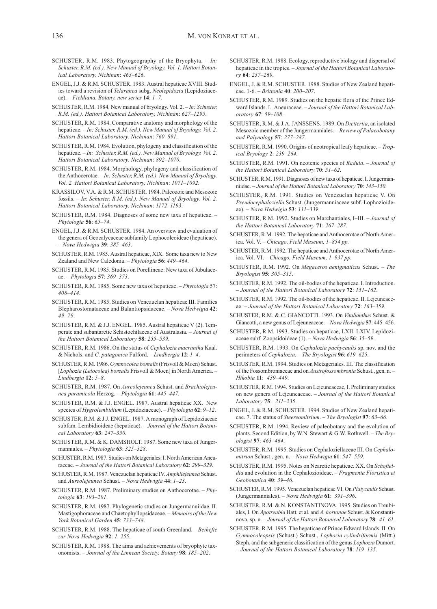- SCHUSTER, R.M. 1983. Phytogeography of the Bryophyta.  $In:$ Schuster, R.M. (ed.). New Manual of Bryology. Vol. 1. Hattori Botanical Laboratory, Nichinan: 463–626.
- ENGEL, J.J. & R.M. SCHUSTER. 1983. Austral hepaticae XVIII. Studies toward a revision of Telaranea subg. Neolepidozia (Lepidoziaceae). – Fieldiana. Botany. new series 14: 1–7.
- SCHUSTER, R.M. 1984. New manual of bryology. Vol. 2. In: Schuster, R.M. (ed.). Hattori Botanical Laboratory, Nichinan: 627–1295.
- SCHUSTER, R.M. 1984. Comparative anatomy and morphology of the hepaticae. – In: Schuster, R.M. (ed.). New Manual of Bryology. Vol. 2. Hattori Botanical Laboratory, Nichinan: 760–891.
- SCHUSTER, R.M. 1984. Evolution, phylogeny and classification of the hepaticae. - In: Schuster, R.M. (ed.). New Manual of Bryology. Vol. 2. Hattori Botanical Laboratory, Nichinan: 892–1070.
- SCHUSTER, R.M. 1984. Morphology, phylogeny and classification of the Anthocerotae. - In: Schuster, R.M. (ed.). New Manual of Bryology. Vol. 2. Hattori Botanical Laboratory, Nichinan: 1071–1092.
- KRASSILOV, V.A. & R.M. SCHUSTER. 1984. Paleozoic and Mesozoic fossils. – In: Schuster, R.M. (ed.). New Manual of Bryology. Vol. 2. Hattori Botanical Laboratory, Nichinan: 1172–1193.
- SCHUSTER, R.M. 1984. Diagnoses of some new taxa of hepaticae. Phytologia 56: 65–74.
- ENGEL, J.J. & R.M. SCHUSTER. 1984. An overview and evaluation of the genera of Geocalycaceae subfamily Lophocoleoideae (hepaticae). – Nova Hedwigia 39: 385–463.
- SCHUSTER, R.M. 1985. Austral hepaticae, XIX. Some taxa new to New Zealand and New Caledonia. – Phytologia 56: 449–464.
- SCHUSTER, R.M. 1985. Studies on Porellineae: New taxa of Jubulaceae. – Phytologia 57: 369–373.
- SCHUSTER, R.M. 1985. Some new taxa of hepaticae. Phytologia 57: 408–414.
- SCHUSTER, R.M. 1985. Studies on Venezuelan hepaticae III. Families Blepharostomataceae and Balantiopsidaceae. – Nova Hedwigia 42: 49–79.
- SCHUSTER, R.M. & J.J. ENGEL. 1985. Austral hepaticae V (2). Temperate and subantarctic Schistochilaceae of Australasia. – Journal of the Hattori Botanical Laboratory 58: 255–539.
- SCHUSTER, R.M. 1986. On the status of Cephalozia macrantha Kaal. & Nichols. and C. patagonica Fulford. – Lindbergia 12: 1–4.
- SCHUSTER, R.M. 1986. Gymnocolea borealis (Frisvoll & Moen) Schust. [Lophozia (Leiocolea) borealis Frisvoll & Moen] in North America. – Lindbergia 12: 5–8.
- SCHUSTER, R.M. 1987. On Aureolejeunea Schust. and Brachiolejeunea paramicola Herzog. – Phytologia 61: 445–447.
- SCHUSTER, R.M. & J.J. ENGEL. 1987. Austral hepaticae XX. New species of Hygrolembidium (Lepidoziaceae). – Phytologia 62: 9–12.
- SCHUSTER, R.M. & J.J. ENGEL. 1987. A monograph of Lepidoziaceae subfam. Lembidioideae (hepaticae). - Journal of the Hattori Botanical Laboratory 63: 247–350.
- SCHUSTER, R.M. & K. DAMSHOLT. 1987. Some new taxa of Jungermanniales. – Phytologia 63: 325–328.
- SCHUSTER, R.M. 1987. Studies on Metzgeriales: I. North American Aneuraceae. – Journal of the Hattori Botanical Laboratory 62: 299–329.
- SCHUSTER, R.M. 1987. Venezuelan hepaticae IV. Amphilejeunea Schust. and Aureolejeunea Schust. – Nova Hedwigia 44: 1–23.
- SCHUSTER, R.M. 1987. Preliminary studies on Anthocerotae. Phytologia 63: 193–201.
- SCHUSTER, R.M. 1987. Phylogenetic studies on Jungermanniidae. II. Mastigophoraceae and Chaetophyllopsidaceae. – Memoirs of the New York Botanical Garden 45: 733–748.
- SCHUSTER, R.M. 1988. The hepaticae of south Greenland. Beihefte zur Nova Hedwigia 92: 1–255.
- SCHUSTER, R.M. 1988. The aims and achievements of bryophyte taxonomists. – Journal of the Linnean Society. Botany 98: 185–202.
- SCHUSTER, R.M. 1988. Ecology, reproductive biology and dispersal of hepaticae in the tropics. – Journal of the Hattori Botanical Laboratory 64: 237–269.
- ENGEL, J. & R.M. SCHUSTER. 1988. Studies of New Zealand hepaticae. 1-6. – *Brittonia* 40: 200–207
- SCHUSTER, R.M. 1989. Studies on the hepatic flora of the Prince Edward Islands. I. Aneuraceae. – Journal of the Hattori Botanical Laboratory 67: 59–108.
- SCHUSTER, R.M. & J.A. JANSSENS. 1989. On Diettertia, an isolated Mesozoic member of the Jungermanniales. – Review of Palaeobotany and Palynology 57: 277–287.
- SCHUSTER, R.M. 1990. Origins of neotropical leafy hepaticae. Tropical Bryology 2: 239–264.
- SCHUSTER, R.M. 1991. On neotenic species of Radula. Journal of the Hattori Botanical Laboratory 70: 51–62.
- SCHUSTER, R.M. 1991. Diagnoses of new taxa of hepaticae. I. Jungermanniidae. – Journal of the Hattori Botanical Laboratory 70: 143–150.
- SCHUSTER, R.M. 1991. Studies on Venezuelan hepaticae V. On Pseudocephaloziella Schust. (Jungermanniaceae subf. Lophozioideae). – Nova Hedwigia 53: 331–339.
- SCHUSTER, R.M. 1992. Studies on Marchantiales, I–III. Journal of the Hattori Botanical Laboratory 71: 267–287.
- SCHUSTER, R.M. 1992. The hepaticae and Anthocerotae of North America. Vol. V. – Chicago, Field Museum, 1–854 pp.
- SCHUSTER, R.M. 1992. The hepaticae and Anthocerotae of North America. Vol. VI. – Chicago, Field Museum, 1–937 pp.
- SCHUSTER, R.M. 1992. On Megaceros aenigmaticus Schust. The Bryologist 95: 305–315.
- SCHUSTER, R.M. 1992. The oil-bodies of the hepaticae. I. Introduction. – Journal of the Hattori Botanical Laboratory 72: 151–162.
- SCHUSTER, R.M. 1992. The oil-bodies of the hepaticae. II. Lejeuneaceae. – Journal of the Hattori Botanical Laboratory 72: 163–359.
- SCHUSTER, R.M. & C. GIANCOTTI. 1993. On Vitalianthus Schust. & Giancotti, a new genus of Lejeuneaceae. – Nova Hedwigia 57: 445–456.
- SCHUSTER, R.M. 1993. Studies on hepaticae, LXII–LXIV. Lepidoziaceae subf. Zoopsidoideae (1). – Nova Hedwigia 56: 35–59.
- SCHUSTER, R.M. 1993. On Cephalozia pachycaulis sp. nov. and the perimeters of Cephalozia. – The Bryologist 96: 619–625.
- SCHUSTER, R.M. 1994. Studies on Metzgeriales. III. The classification of the Fossombroniaceae and on Austrofossombronia Schust., gen. n. – Hikobia 11: 439–449.
- SCHUSTER, R.M. 1994. Studies on Lejeuneaceae, I. Preliminary studies on new genera of Lejeuneaceae. – Journal of the Hattori Botanical Laboratory 75: 211–235.
- ENGEL, J. & R.M. SCHUSTER. 1994. Studies of New Zealand hepaticae. 7. The status of Steereomitrium. – The Bryologist 97: 63–66.
- SCHUSTER, R.M. 1994. Review of paleobotany and the evolution of plants. Second Edition, by W.N. Stewart & G.W. Rothwell. – The Bryologist 97: 463–464.
- SCHUSTER, R.M. 1995. Studies on Cephaloziellaceae III. On Cephalomitrion Schust., gen. n. – Nova Hedwigia 61: 547–559.
- SCHUSTER, R.M. 1995. Notes on Nearctic hepaticae. XX. On Schofieldia and evolution in the Cephalozioideae. - Fragmenta Floristica et Geobotanica 40: 39–46.
- SCHUSTER, R.M. 1995. Venezuelan hepaticae VI. On Platycaulis Schust. (Jungermanniales). – Nova Hedwigia 61: 391–396.
- SCHUSTER, R.M. & N. KONSTANTINOVA. 1995. Studies on Treubiales, I. On Apotreubia Hatt. et al. and A. hortonae Schust. & Konstantinova, sp. n. – Journal of the Hattori Botanical Laboratory 78: 41–61.
- SCHUSTER, R.M. 1995. The hepaticae of Prince Edward Islands. II. On Gymnocoleopsis (Schust.) Schust., Lophozia cylindriformis (Mitt.) Steph. and the subgeneric classification of the genus Lophozia Dumort. – Journal of the Hattori Botanical Laboratory 78: 119–135.